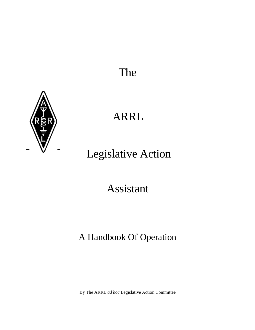## The



## ARRL

# Legislative Action

## Assistant

## A Handbook Of Operation

By The ARRL *ad hoc* Legislative Action Committee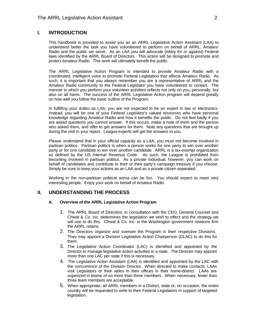### **I. INTRODUCTION**

This handbook is provided to assist you as an ARRL Legislative Action Assistant (LAA) to understand better the task you have volunteered to perform on behalf of ARRL, Amateur Radio and the public we serve. As an LAA you will advocate (lobby for or against) Federal laws identified by the ARRL Board of Directors. This action will be designed to promote and protect Amateur Radio. This work will ultimately benefit the public.

The ARRL Legislative Action Program is intended to provide Amateur Radio with a coordinated, intelligent voice to promote Federal Legislation that affects Amateur Radio. As such, it is important that you always remember you are a representative of ARRL and the Amateur Radio community to the Federal Legislator you have volunteered to contact. The manner in which you perform your volunteer activities reflects not only on you, personally, but also on all hams. The success of the ARRL Legislative Action program will depend greatly on how well you follow the basic outline of the Program.

In fulfilling your duties as LAA, you are not expected to be an expert in law or electronics. Instead, you will be one of your Federal Legislator's valued resources who have personal knowledge regarding Amateur Radio and how it benefits the public. Do not feel badly if you are asked questions you cannot answer. If this occurs, make a note of them and the person who asked them, and offer to get answers for them. Note any questions that are brought up during the visit in your report. League experts will get the answers to you.

Please understand that in your official capacity as a LAA, you must not become involved in partisan politics. Partisan politics is when a person works for one party to win over another party or for one candidate to win over another candidate. ARRL is a tax-exempt organization as defined by the US Internal Revenue Code. As such, the League is prohibited from becoming involved in partisan politics. As a private individual, however, you can work on behalf of candidates and contribute to their or their party's campaign treasury if you choose. Simply be sure to keep your actions as an LAA and as a private citizen separated.

Working in the non-partisan political arena can be fun. You should expect to meet very interesting people. Enjoy your work on behalf of Amateur Radio.

### **II. UNDERSTANDING THE PROCESS**

#### **A. Overview of the ARRL Legislative Action Program**

- 1. The ARRL Board of Directors, in consultation with the CEO, General Counsel and Chwat & Co. inc. determines the legislation we wish to effect and the strategy we will use to do this. Chwat & Co. inc. is the Washington government relations firm the ARRL retains.
- 2. The Directors organize and oversee the Program in their respective Divisions. They may appoint a Division Legislative Action Chairperson (DLAC) to do this for them.
- 3. The Legislative Action Coordinator (LAC) is identified and appointed by the Director to manage legislative action activities in a state. The Director may appoint more than one LAC per state if this is necessary.
- 4. The Legislative Acton Assistant (LAA) is identified and appointed by the LAC with the concurrence of the Division Director. When directed to make contacts, LAAs visit Legislators or their aides in their offices in their home-district. LAAs are organized in teams of no more than three members. When necessary, fewer than three team members are acceptable.
- 5. When appropriate, all ARRL members in a District, state or, on occasion, the entire country will be requested to write to their Federal Legislators in support of targeted legislation.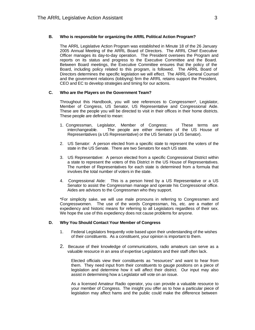#### **B. Who is responsible for organizing the ARRL Political Action Program?**

The ARRL Legislative Action Program was established in Minute 18 of the 26 January 2005 Annual Meeting of the ARRL Board of Directors. The ARRL Chief Executive Officer manages its day-to-day operation. The President oversees the Program and reports on its status and progress to the Executive Committee and the Board. Between Board meetings, the Executive Committee ensures that the policy of the Board, including policy related to this program, is followed. The ARRL Board of Directors determines the specific legislation we will effect. The ARRL General Counsel and the government relations (lobbying) firm the ARRL retains support the President, CEO and EC to develop strategies and timing for our actions.

#### **C. Who are the Players on the Government Team?**

Throughout this Handbook, you will see references to Congressmen\*, Legislator, Member of Congress, US Senator, US Representative and Congressional Aide. These are the people you will be directed to visit in their offices in their home districts. These people are defined to mean:

- 1. Congressman, Legislator, Member of Congress: These terms are interchangeable. The people are either members of the US House of Representatives (a US Representative) or the US Senator (a US Senator).
- 2. US Senator: A person elected from a specific state to represent the voters of the state in the US Senate. There are two Senators for each US state.
- 3. US Representative: A person elected from a specific Congressional District within a state to represent the voters of this District in the US House of Representatives. The number of Representatives for each state is determined from a formula that involves the total number of voters in the state.
- 4. Congressional Aide: This is a person hired by a US Representative or a US Senator to assist the Congressman manage and operate his Congressional office. Aides are advisors to the Congressman who they support.

\*For simplicity sake, we will use male pronouns in referring to Congressmen and Congresswomen. The use of the words Congressman, his, etc. are a matter of expediency and historic means for referring to all Legislators regardless of their sex. We hope the use of this expediency does not cause problems for anyone.

#### **D. Why You Should Contact Your Member of Congress**

- 1. Federal Legislators frequently vote based upon their understanding of the wishes of their constituents. As a constituent, your opinion is important to them.
- 2. Because of their knowledge of communications, radio amateurs can serve as a valuable resource in an area of expertise Legislators and their staff often lack.

Elected officials view their constituents as "resources" and want to hear from them. They need input from their constituents to gauge positions on a piece of legislation and determine how it will affect their district. Our input may also assist in determining how a Legislator will vote on an issue.

As a licensed Amateur Radio operator, you can provide a valuable resource to your member of Congress. The insight you offer as to how a particular piece of legislation may affect hams and the public could make the difference between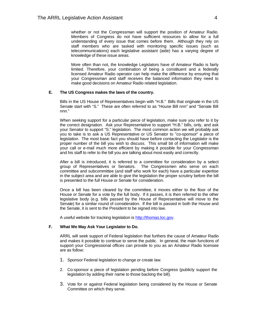whether or not the Congressman will support the position of Amateur Radio. Members of Congress do not have sufficient resources to allow for a full understanding of every issue that comes before them. Although they rely on staff members who are tasked with monitoring specific issues (such as telecommunications) each legislative assistant (aide) has a varying degree of knowledge of these issue areas.

More often than not, the knowledge Legislators have of Amateur Radio is fairly limited. Therefore, your combination of being a constituent and a federally licensed Amateur Radio operator can help make the difference by ensuring that your Congressman and staff receives the balanced information they need to make good decisions on Amateur Radio related legislation.

#### **E. The US Congress makes the laws of the country.**

Bills in the US House of Representatives begin with "H.B." Bills that originate in the US Senate start with "S." These are often referred to as "House Bill nnn" and "Senate Bill nnn."

When seeking support for a particular piece of legislation, make sure you refer to it by the correct designation. Ask your Representative to support "H.B." bills, only, and ask your Senator to support "S." legislation. The most common action we will probably ask you to take is to ask a US Representative or US Senator to "co-sponsor" a piece of legislation. The most basic fact you should have before contacting the Legislator is the proper number of the bill you wish to discuss. This small bit of information will make your call or e-mail much more efficient by making it possible for your Congressman and his staff to refer to the bill you are talking about most easily and correctly.

After a bill is introduced, it is referred to a committee for consideration by a select group of Representatives or Senators. The Congressmen who serve on each committee and subcommittee (and staff who work for each) have a particular expertise in the subject area and are able to give the legislation the proper scrutiny before the bill is presented to the full House or Senate for consideration.

Once a bill has been cleared by the committee, it moves either to the floor of the House or Senate for a vote by the full body. If it passes, it is then referred to the other legislative body (e.g. bills passed by the House of Representative will move to the Senate) for a similar round of consideration. If the bill is passed in both the House and the Senate, it is sent to the President to be signed into law.

A useful website for tracking legislation is http://thomas.loc.gov.

#### **F. What We May Ask Your Legislator to Do.**

ARRL will seek support of Federal legislation that furthers the cause of Amateur Radio and makes it possible to continue to serve the public. In general, the main functions of support your Congressional offices can provide to you as an Amateur Radio licensee are as follow:

- 1. Sponsor Federal legislation to change or create law.
- 2. Co-sponsor a piece of legislation pending before Congress (publicly support the legislation by adding their name to those backing the bill).
- 3. Vote for or against Federal legislation being considered by the House or Senate Committee on which they serve.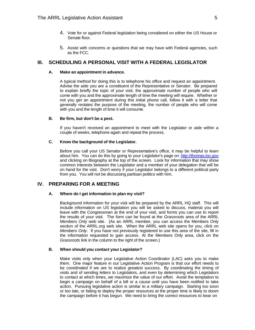- 4. Vote for or against Federal legislation being considered on either the US House or Senate floor.
- 5. Assist with concerns or questions that we may have with Federal agencies, such as the FCC.

### **III. SCHEDULING A PERSONAL VISIT WITH A FEDERAL LEGISLATOR**

#### **A. Make an appointment in advance.**

A typical method for doing this is to telephone his office and request an appointment. Advise the aide you are a constituent of the Representative or Senator. Be prepared to explain briefly the topic of your visit, the approximate number of people who will come with you and the approximate length of time the meeting will require. Whether or not you get an appointment during this initial phone call, follow it with a letter that generally restates the purpose of the meeting, the number of people who will come with you and the length of time it will consume.

#### **B. Be firm, but don't be a pest.**

If you haven't received an appointment to meet with the Legislator or aide within a couple of weeks, telephone again and repeat the process.

#### **C. Know the background of the Legislator.**

Before you call your US Senator or Representative's office, it may be helpful to learn about him. You can do this by going to your Legislator's page on http://thomas.loc.gov and clicking on Biography at the top of the screen. Look for information that may show common interests between the Legislator and a member of your delegation that will be on hand for the visit. Don't worry if your Legislator belongs to a different political party from you. You will not be discussing partisan politics with him.

## **IV. PREPARING FOR A MEETING**

#### **A. Where do I get information to plan my visit?**

Background information for your visit will be prepared by the ARRL HQ staff. This will include information on US legislation you will be asked to discuss, material you will leave with the Congressman at the end of your visit, and forms you can use to report the results of your visit. The form can be found at the *Grassroots* area of the ARRL *Members Only* web site. (As an ARRL member, you can access the Members Only section of the ARRL.org web site. When the ARRL web site opens for you, click on *Members Only*. If you have not previously registered to use this area of the site, fill in the information requested to gain access. At the Members Only area, click on the *Grassroots* link in the column to the right of the screen.)

#### **B. When should you contact your Legislator?**

Make visits only when your Legislative Action Coordinator (LAC) asks you to make them. One major feature in our Legislative Action Program is that our effort needs to be coordinated if we are to realize greatest success. By coordinating the timing of visits and of sending letters to Legislators, and even by determining which Legislators to contact at which times, we maximize the value of our effort. Avoid the temptation to begin a campaign on behalf of a bill or a cause until you have been notified to take action. Pursuing legislative action is similar to a military campaign. Starting too soon or too late, or failing to deploy the proper resources at the proper time is likely to doom the campaign before it has begun. We need to bring the correct resources to bear on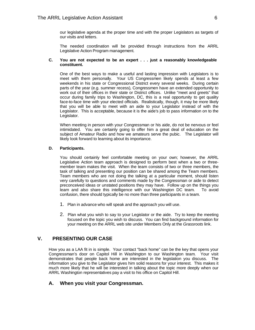our legislative agenda at the proper time and with the proper Legislators as targets of our visits and letters.

The needed coordination will be provided through instructions from the ARRL Legislative Action Program management.

#### **C. You are not expected to be an expert . . . just a reasonably knowledgeable constituent.**

One of the best ways to make a useful and lasting impression with Legislators is to meet with them personally. Your US Congressmen likely spends at least a few weekends in his state or Congressional District every several weeks. During certain parts of the year (e.g. summer recess), Congressmen have an extended opportunity to work out of their offices in their state or District offices. Unlike "meet and greets" that occur during family trips to Washington, DC, this is a real opportunity to get quality face-to-face time with your elected officials. Realistically, though, it may be more likely that you will be able to meet with an aide to your Legislator instead of with the Legislator. This is acceptable, because it is the aide's job to pass information on to the Legislator.

When meeting in person with your Congressman or his aide, do not be nervous or feel intimidated. You are certainly going to offer him a great deal of education on the subject of Amateur Radio and how we amateurs serve the pubic. The Legislator will likely look forward to learning about its importance.

#### **D. Participants.**

You should certainly feel comfortable meeting on your own; however, the ARRL Legislative Action team approach is designed to perform best when a two or threemember team makes the visit. When the team consists of two or three members, the task of talking and presenting our position can be shared among the Team members. Team members who are not doing the talking at a particular moment, should listen very carefully to questions and comments made by the Congressman or aide to detect preconceived ideas or unstated positions they may have. Follow up on the things you learn and also share this intelligence with our Washington DC team. To avoid confusion, there should typically be no more than three participants in a team.

- 1. Plan in advance who will speak and the approach you will use.
- 2. Plan what you wish to say to your Legislator or the aide. Try to keep the meeting focused on the topic you wish to discuss. You can find background information for your meeting on the ARRL web site under Members Only at the *Grassroots* link.

## **V. PRESENTING OUR CASE**

How you as a LAA fit in is simple. Your contact "back home" can be the key that opens your Congressman's door on Capitol Hill in Washington to our Washington team. Your visit demonstrates that people back home are interested in the legislation you discuss. The information you give to the Legislator gives him solid reasons for your interest. This makes it much more likely that he will be interested in talking about the topic more deeply when our ARRL Washington representatives pay a visit to his office on Capitol Hill.

## **A. When you visit your Congressman.**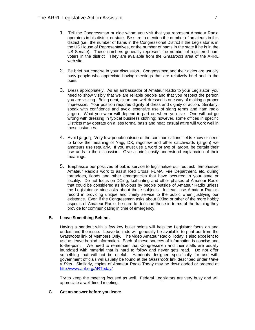- 1. Tell the Congressman or aide whom you visit that you represent Amateur Radio operators in his district or state. Be sure to mention the number of amateurs in this district (i.e., the number of hams in the Congressional District if the Legislator is in the US House of Representatives, or the number of hams in the state if he is in the US Senate). These numbers generally represent the number of registered ham voters in the district. They are available from the *Grassroots* area of the ARRL web site.
- 2. Be brief but concise in your discussion. Congressmen and their aides are usually busy people who appreciate having meetings that are relatively brief and to the point.
- 3. Dress appropriately. As an ambassador of Amateur Radio to your Legislator, you need to show visibly that we are reliable people and that you respect the person you are visiting. Being neat, clean and well dressed is one way of making a proper impression. Your position requires dignity of dress and dignity of action. Similarly, speak with confidence and avoid extensive use of slang terms and ham radio jargon. What you wear will depend in part on where you live. One will not go wrong with dressing in typical business clothing; however, some offices in specific Districts may operate on a less formal basis and neat, casual attire will work well in these instances.
- 4. Avoid jargon. Very few people outside of the communications fields know or need to know the meaning of Yagi, DX, ragchew and other catchwords (jargon) we amateurs use regularly. If you must use a word or two of jargon, be certain their use adds to the discussion. Give a brief, easily understood explanation of their meanings.
- 5. Emphasize our positives of public service to legitimatize our request. Emphasize Amateur Radio's work to assist Red Cross, FEMA, Fire Department, etc. during tornadoes, floods and other emergencies that have occurred in your state or locality. Do not focus on DXing, foxhunting and other phases of Amateur Radio that could be considered as frivolous by people outside of Amateur Radio unless the Legislator or aide asks about these subjects. Instead, use Amateur Radio's record in providing unique and timely service to the public when justifying our existence. Even if the Congressman asks about DXing or other of the more hobby aspects of Amateur Radio, be sure to describe these in terms of the training they provide for communicating in time of emergency.

#### **B. Leave Something Behind.**

Having a handout with a few key bullet points will help the Legislator focus on and understand the issue. Leave-behinds will generally be available to print out from the *Grassroots* link of Members Only*.* The video Amateur Radio Today is also excellent to use as leave-behind information. Each of these sources of information is concise and to-the-point. We need to remember that Congressmen and their staffs are usually inundated with material that is hard to follow and never gets read. Do not offer something that will not be useful. Handouts designed specifically for use with government officials will usually be found at the *Grassroots* link described under *Have a Plan*. Similarly, copies of Amateur Radio Today may be downloaded or ordered at http://www.arrl.org/ARToday/.

Try to keep the meeting focused as well. Federal Legislators are very busy and will appreciate a well-timed meeting.

#### **C. Get an answer before you leave.**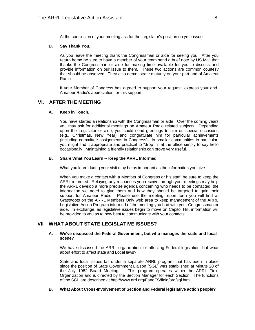At the conclusion of your meeting ask for the Legislator's position on your issue.

#### **D. Say Thank You.**

As you leave the meeting thank the Congressman or aide for seeing you. After you return home be sure to have a member of your team send a brief note by US Mail that thanks the Congressman or aide for making time available for you to discuss and provide information on our issue to them. These two actions are common courtesy that should be observed. They also demonstrate maturity on your part and of Amateur Radio.

If your Member of Congress has agreed to support your request, express your and Amateur Radio's appreciation for this support.

### **VI. AFTER THE MEETING**

#### **A. Keep in Touch.**

You have started a relationship with the Congressman or aide. Over the coming years you may ask for additional meetings on Amateur Radio related subjects. Depending upon the Legislator or aide, you could send greetings to him on special occasions (e.g., Christmas, New Year) and congratulate him for particular achievements (including committee assignments in Congress). In smaller communities in particular, you might find it appropriate and practical to "drop in" at the office simply to say hello occasionally. Maintaining a friendly relationship can prove very useful.

#### **B. Share What You Learn -- Keep the ARRL Informed.**

What you learn during your visit may be as important as the information you give.

When you make a contact with a Member of Congress or his staff, be sure to keep the ARRL informed. Relaying any responses you receive through your meetings may help the ARRL develop a more precise agenda concerning who needs to be contacted, the information we need to give them and how they should be targeted to gain their support for Amateur Radio. Please use the meeting report form you will find at *Grassroots* on the ARRL Members Only web area to keep management of the ARRL Legislative Action Program informed of the meeting you had with your Congressman or aide. In exchange, as legislative issues begin to move on Capitol Hill, information will be provided to you as to how best to communicate with your contacts.

### **VII WHAT ABOUT STATE LEGISLATIVE ISSUES?**

#### **A. We've discussed the Federal Government, but who manages the state and local scene?**

We have discussed the ARRL organization for affecting Federal legislation, but what about effort to affect state and Local laws?

State and local issues fall under a separate ARRL program that has been in place since the position of State Government Liaison (SGL) was established at Minute 20 of the July 1982 Board Meeting. This program operates within the ARRL Field Organization and is directed by the Section Manager for each Section. The functions of the SGL are described at http://www.arrl.org/FandES/field/org/sgl.html.

#### **B. What About Cross-Involvement of Section and Federal legislative action people?**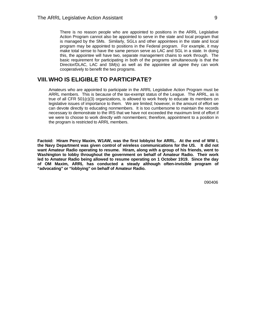There is no reason people who are appointed to positions in the ARRL Legislative Action Program cannot also be appointed to serve in the state and local program that is managed by the SMs. Similarly, SGLs and other appointees in the state and local program may be appointed to positions in the Federal program. For example, it may make total sense to have the same person serve as LAC and SGL in a state. In doing this, the appointee will have two, separate management chains to work through. The basic requirement for participating in both of the programs simultaneously is that the Director/DLAC, LAC and SM(s) as well as the appointee all agree they can work cooperatively to benefit the two programs.

## **VIII. WHO IS ELIGIBLE TO PARTICIPATE?**

Amateurs who are appointed to participate in the ARRL Legislative Action Program must be ARRL members. This is because of the tax-exempt status of the League. The ARRL, as is true of all CFR 501(c)(3) organizations, is allowed to work freely to educate its members on legislative issues of importance to them. We are limited; however, in the amount of effort we can devote directly to educating nonmembers. It is too cumbersome to maintain the records necessary to demonstrate to the IRS that we have not exceeded the maximum limit of effort if we were to choose to work directly with nonmembers; therefore, appointment to a position in the program is restricted to ARRL members.

**Factoid: Hiram Percy Maxim, W1AW, was the first lobbyist for ARRL. At the end of WW I, the Navy Department was given control of wireless communications for the US. It did not want Amateur Radio operating to resume. Hiram, along with a group of his friends, went to Washington to lobby throughout the government on behalf of Amateur Radio. Their work led to Amateur Radio being allowed to resume operating on 1 October 1919. Since the day of OM Maxim, ARRL has conducted a steady although often-invisible program of "advocating" or "lobbying" on behalf of Amateur Radio.**

090406